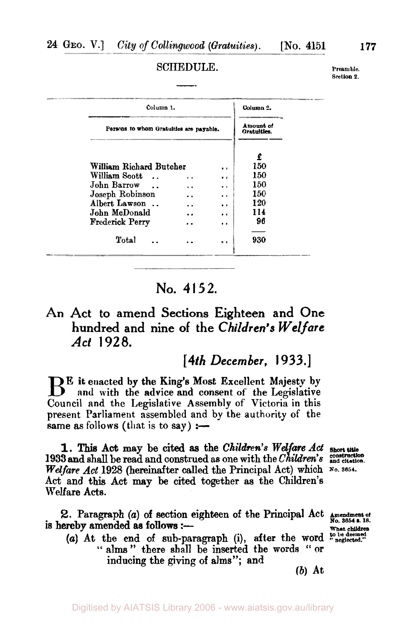#### **SCHEDULE.**

**Preamble. section 2.** 

| Column <sub>1</sub> .               |                                         |                  | Column <sub>2</sub> . |
|-------------------------------------|-----------------------------------------|------------------|-----------------------|
|                                     | Persons to whom Gratuities are payable. |                  |                       |
|                                     |                                         |                  | £                     |
| William Richard Butcher             |                                         | $\bullet$        | 150                   |
| William Scott<br>$\cdot$ .          | . .                                     | $\bullet$        | 150                   |
| John Barrow<br>$\ddot{\phantom{1}}$ |                                         | $\bullet$        | 150                   |
| Joseph Robinson                     |                                         | $\cdot$          | 150                   |
| Albert Lawson                       |                                         | $\bullet$        | 120                   |
| John McDonald                       |                                         | $\bullet$        | 114                   |
| <b>Frederick Perry</b>              |                                         | $\bullet\bullet$ | 96                    |
|                                     |                                         |                  |                       |
| Total                               |                                         |                  | 930                   |

# **No. 4152.**

## **An Act to amend Sections Eighteen and One hundred and nine of the** *Children's Welfare Act 1928.*

### *[4th December,* **1933.]**

B<sup>E</sup> it enacted by the King's Most Excellent Majesty by and with the advice and consent Council and the Legislative Assembly of Victoria in this present Parliament assembled and by the authority of the same as follows (that is to say) :-

**1.** This Act may be cited as the Children's Welfare Act short **i** *Welfare Act* 1928 (hereinafter called the Principal Act) which **No. 3654.**  Act and this Act may be cited together as the Children's Welfare **Acts.**  1933 and shall be read and construed as one with the *Children's construction and citatation* 

2. Paragraph (a) of section eighteen of the Principal Act is hereby amended as follows :-**No. 3654 a. B.**<br> **18. Bereby amended as follows :---**<br>
What children

(a) At the end of sub-paragraph (i), after the word  $\frac{100 \text{ pc degened}}{\text{neglected}}}$  " alms " there shall be inserted the words " or inducing the giving of alms"; **and** 

*(b)* **At**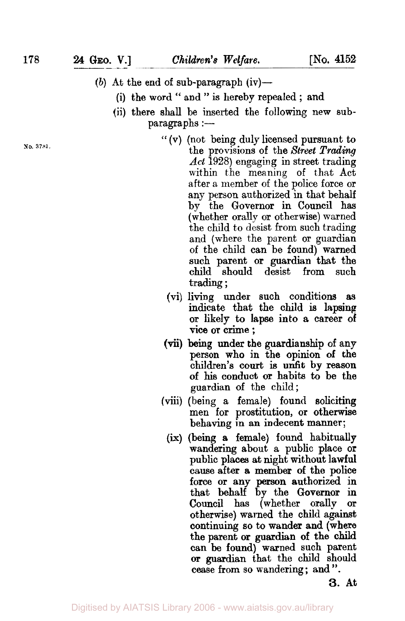- (b) At the end of sub-paragraph  $(iv)$ -
	- **(i)** the word " and " is hereby repealed ; and
	- (ii) there **shall** be inserted the following new sub-  $\text{paragnhs}$  :-
- **No. 3781.**
- " (V) (not being duly licensed pursuant to the provisions of the *Street Trading Act* 1928) engaging in street trading within the meaning of that Act after a member of the police force or any person authorized in that behalf by the Governor in Council has (whether orally **or** otherwise) warned the child to desist from such trading and (where the parent or guardian of the child can be found) warned such parent **or** guardian that the child should desist from such trading ;
	- (vi) living under such conditions **as**  indicate that the child is **lapsing or** likely **to** lapse into a career **of vice or** crime ;
- (Vi;) **being** under the guardianship of any person who in the opinion **of** the children's **court** is unfit by reason **of** his conduct **or** habits to be the guardian **of** the child;
- (viii) (being a female) found soliciting men **for** prostitution, **or** otherwise behaving in an indecent manner;
	- (ix) (being **a** female) found habitually wandering about a public place **or**  public places at night without lawful causeafter a member of the **police**  force **or** any **person** authorized in that behalf by the **Governor** in **Council** has (whether orally **or**  otherwise) warned the child against continuing *so* to wander and (where the parent **or guardian of the child can** be found) warned such parent **or** guardian that the child should cease **from** so wandering ; and ".

**3. At** 

Digitised by AIATSIS Library 2006 - www.aiatsis.gov.au/library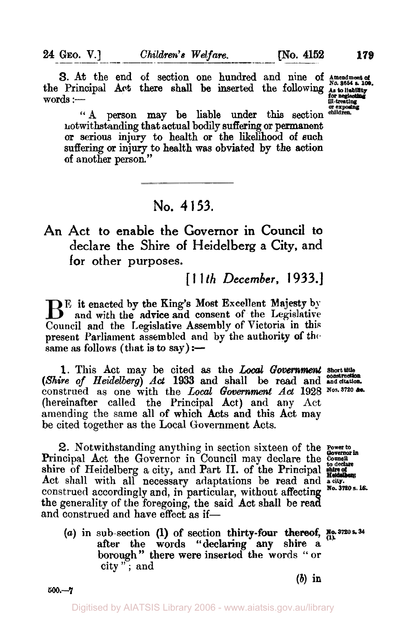**3.** At the end of section one hundred and nine of **Amendment of**  $N_0$ , 3654 s. 109. the Principal Act there shall be inserted the following **As to liability** words :- ill-treating **for neglecting** 

"A person may be liable under this section children. notwithstanding that actual bodily **suffering** or permanent or **serious** injury to health or the likelihood of such suffering or injury to health was obviated **by** the action of another person."

## **No. 4 153.**

**An Act to enable the Governor in Council to declare the Shire of Heidelberg a City, and for other purposes.** 

[ **1 1** *th December,* **1933.]** 

Be it enacted by the King's Most Excellent Majesty **by**  and with **the** advice and consent of the Legislative Council and the Legislative Assembly of Victoria in this present Parliament assembled and by the authority **of** the. same as follows (that is to say)  $:$ -

1. This Act may be cited as the *Local Government* short the *(Shire of Heidelberg) Act* **1933 and** shall be read and **and citation**  construed as one with the *Local Government Act* 1928 Nos. 3720 &c. (hereinafter called the Principal Act) and any Act amending the same all of which Acts and this Act may be cited together as the Local Government Acts.

**2.** Notwithstanding anything in section sixteen of the **Power to Governor in**  Principal Act the Governor in Council may declare the *Council* shire of Heidelberg a city, and Part II. of the Principal methods Act shall with all necessary adaptations be read and **a city.**  construed accordingly and, in particular, without affecting No. 3720 s. 16. the generality of the foregoing, the said **Act** shall be **rea**  and construed and have effect as if-

*(a)* in sub-section (1) of section thirty-four **thereof, No. 3720 s. 34**  after the words "declaring **any** shire a borough" there were inserted the words "or city " ; and

**500.-7** 

 $(b)$  in